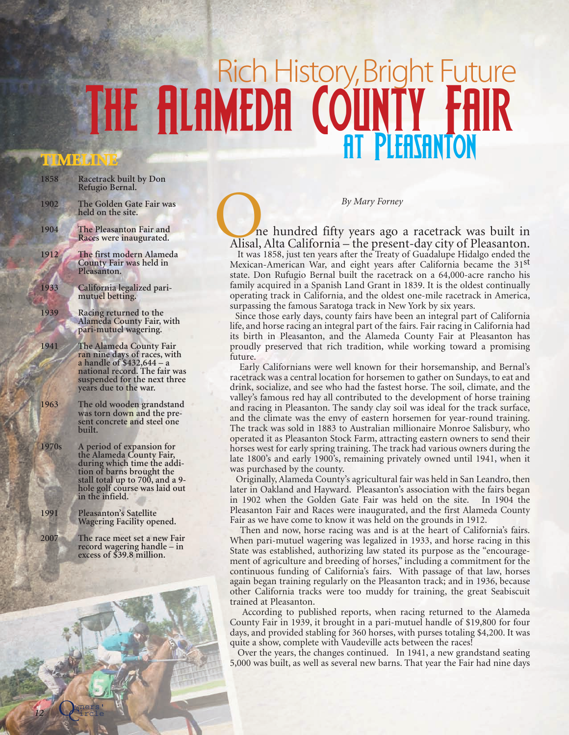## Rich History, Bright Future THE ALAMEDA COUNTY FA

## **TIMELINE**

**1858 Racetrack built by Don Refugio Bernal. 1902 The Golden Gate Fair was held on the site. 1904 The Pleasanton Fair and Races were inaugurated. 1912 The first modern Alameda County Fair was held in Pleasanton. 1933 California legalized pari- mutuel betting. 1939 Racing returned to the Alameda County Fair, with pari-mutuel wagering. 1941 The Alameda County Fair ran nine days of races, with a handle of \$432,644 – a national record. The fair was suspended for the next three years due to the war. 1963 The old wooden grandstand was torn down and the present concrete and steel one built. 1970s A period of expansion for the Alameda County Fair, during which time the addition of barns brought the stall total up to 700, and a 9 hole golf course was laid out in the infield. 1991 Pleasanton's Satellite Wagering Facility opened. 2007 The race meet set a new Fair record wagering handle – in excess of \$39.8 million.**

*By Mary Forney*<br> *By Mary Forney*<br> *Alisal, Alta California – the present-day city of Pleasanton.* It was 1858, just ten years after the Treaty of Guadalupe Hidalgo ended the

Mexican-American War, and eight years after California became the 31st state. Don Rufugio Bernal built the racetrack on a 64,000-acre rancho his family acquired in a Spanish Land Grant in 1839. It is the oldest continually operating track in California, and the oldest one-mile racetrack in America, surpassing the famous Saratoga track in New York by six years.

Since those early days, county fairs have been an integral part of California life, and horse racing an integral part of the fairs. Fair racing in California had its birth in Pleasanton, and the Alameda County Fair at Pleasanton has proudly preserved that rich tradition, while working toward a promising future.

Early Californians were well known for their horsemanship, and Bernal's racetrack was a central location for horsemen to gather on Sundays, to eat and drink, socialize, and see who had the fastest horse. The soil, climate, and the valley's famous red hay all contributed to the development of horse training and racing in Pleasanton. The sandy clay soil was ideal for the track surface, and the climate was the envy of eastern horsemen for year-round training. The track was sold in 1883 to Australian millionaire Monroe Salisbury, who operated it as Pleasanton Stock Farm, attracting eastern owners to send their horses west for early spring training. The track had various owners during the late 1800's and early 1900's, remaining privately owned until 1941, when it was purchased by the county.

Originally, Alameda County's agricultural fair was held in San Leandro, then later in Oakland and Hayward. Pleasanton's association with the fairs began in 1902 when the Golden Gate Fair was held on the site. In 1904 the Pleasanton Fair and Races were inaugurated, and the first Alameda County Fair as we have come to know it was held on the grounds in 1912.

Then and now, horse racing was and is at the heart of California's fairs. When pari-mutuel wagering was legalized in 1933, and horse racing in this State was established, authorizing law stated its purpose as the "encouragement of agriculture and breeding of horses," including a commitment for the continuous funding of California's fairs. With passage of that law, horses again began training regularly on the Pleasanton track; and in 1936, because other California tracks were too muddy for training, the great Seabiscuit trained at Pleasanton.

According to published reports, when racing returned to the Alameda County Fair in 1939, it brought in a pari-mutuel handle of \$19,800 for four days, and provided stabling for 360 horses, with purses totaling \$4,200. It was quite a show, complete with Vaudeville acts between the races!

Over the years, the changes continued. In 1941, a new grandstand seating 5,000 was built, as well as several new barns. That year the Fair had nine days

Owners'